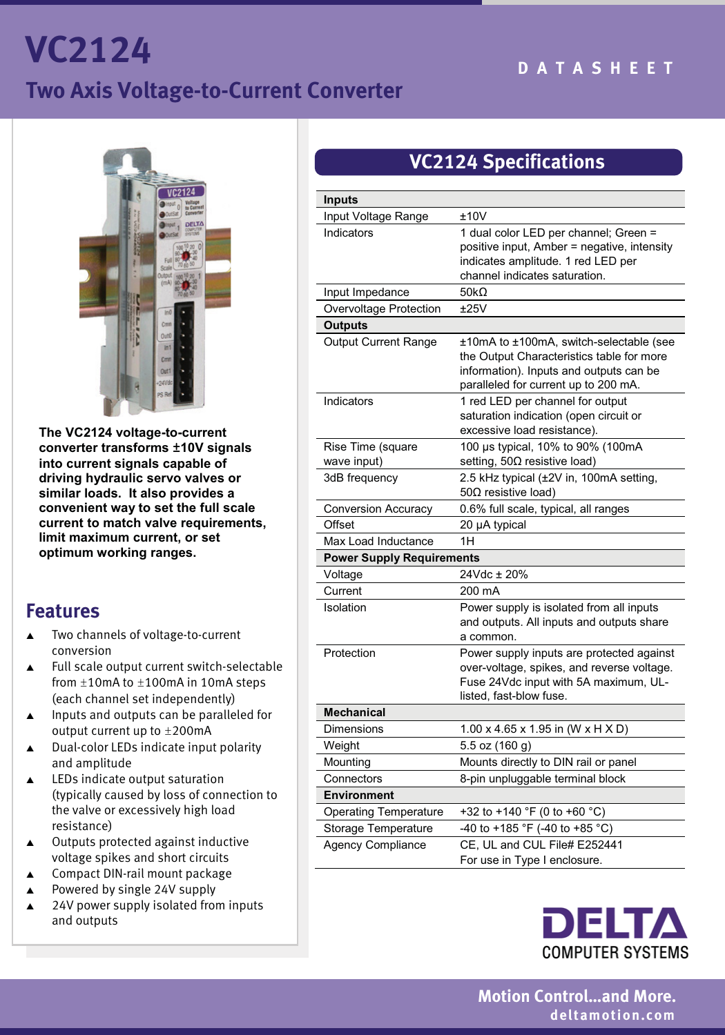# **VC2124 Two Axis Voltage-to-Current Converter**



**The VC2124 voltage-to-current converter transforms ±10V signals into current signals capable of driving hydraulic servo valves or similar loads. It also provides a convenient way to set the full scale current to match valve requirements, limit maximum current, or set optimum working ranges.** 

#### **Features**

- $\blacktriangle$  Two channels of voltage-to-current conversion
- $\blacktriangle$  Full scale output current switch-selectable from  $\pm 10$ mA to  $\pm 100$ mA in 10mA steps (each channel set independently)
- $\blacktriangle$  Inputs and outputs can be paralleled for output current up to ±200mA
- $\blacktriangle$  Dual-color LEDs indicate input polarity and amplitude
- $\blacktriangle$  LEDs indicate output saturation (typically caused by loss of connection to the valve or excessively high load resistance)
- $\blacktriangle$  Outputs protected against inductive voltage spikes and short circuits
- $\blacktriangle$ Compact DIN-rail mount package
- $\blacktriangle$ Powered by single 24V supply
- $\blacktriangle$  24V power supply isolated from inputs and outputs

## **VC2124 Specifications**

| <b>Inputs</b>                    |                                             |  |
|----------------------------------|---------------------------------------------|--|
| Input Voltage Range              | ±10V                                        |  |
| Indicators                       | 1 dual color LED per channel; Green =       |  |
|                                  | positive input, Amber = negative, intensity |  |
|                                  | indicates amplitude. 1 red LED per          |  |
|                                  | channel indicates saturation.               |  |
| Input Impedance                  | 50 $k\Omega$                                |  |
| Overvoltage Protection           | ±25V                                        |  |
| <b>Outputs</b>                   |                                             |  |
| <b>Output Current Range</b>      | ±10mA to ±100mA, switch-selectable (see     |  |
|                                  | the Output Characteristics table for more   |  |
|                                  | information). Inputs and outputs can be     |  |
|                                  | paralleled for current up to 200 mA.        |  |
| Indicators                       | 1 red LED per channel for output            |  |
|                                  | saturation indication (open circuit or      |  |
|                                  | excessive load resistance).                 |  |
| Rise Time (square                | 100 µs typical, 10% to 90% (100mA           |  |
| wave input)                      | setting, 50Ω resistive load)                |  |
| 3dB frequency                    | 2.5 kHz typical (±2V in, 100mA setting,     |  |
|                                  | 50 $\Omega$ resistive load)                 |  |
| <b>Conversion Accuracy</b>       | 0.6% full scale, typical, all ranges        |  |
| Offset                           | 20 µA typical                               |  |
| Max Load Inductance              | 1H                                          |  |
| <b>Power Supply Requirements</b> |                                             |  |
| Voltage                          | 24Vdc ± 20%                                 |  |
| Current                          | 200 mA                                      |  |
| Isolation                        | Power supply is isolated from all inputs    |  |
|                                  | and outputs. All inputs and outputs share   |  |
|                                  | a common.                                   |  |
| Protection                       | Power supply inputs are protected against   |  |
|                                  | over-voltage, spikes, and reverse voltage.  |  |
|                                  | Fuse 24Vdc input with 5A maximum, UL-       |  |
|                                  | listed, fast-blow fuse.                     |  |
| <b>Mechanical</b>                |                                             |  |
| <b>Dimensions</b>                | 1.00 x 4.65 x 1.95 in (W x H X D)           |  |
| Weight                           | 5.5 oz (160 g)                              |  |
| Mounting                         | Mounts directly to DIN rail or panel        |  |
| Connectors                       | 8-pin unpluggable terminal block            |  |
| <b>Environment</b>               |                                             |  |
| <b>Operating Temperature</b>     | +32 to +140 °F (0 to +60 °C)                |  |
| Storage Temperature              | -40 to +185 °F (-40 to +85 °C)              |  |
| <b>Agency Compliance</b>         | CE, UL and CUL File# E252441                |  |
|                                  | For use in Type I enclosure.                |  |



 **Motion Control…and More. deltamotion.com**